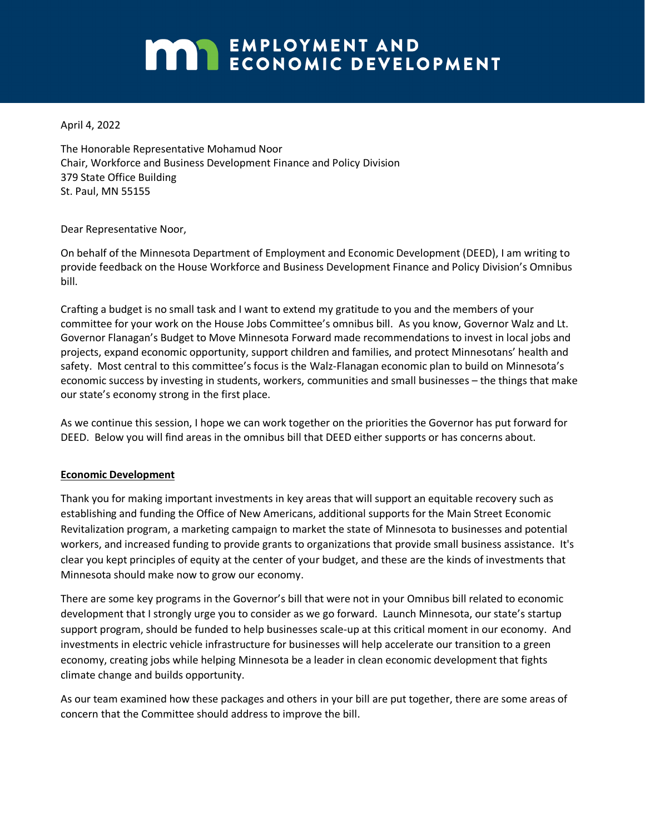# **MARIE EMPLOYMENT AND ECONOMIC DEVELOPMENT**

April 4, 2022

The Honorable Representative Mohamud Noor Chair, Workforce and Business Development Finance and Policy Division 379 State Office Building St. Paul, MN 55155

Dear Representative Noor,

On behalf of the Minnesota Department of Employment and Economic Development (DEED), I am writing to provide feedback on the House Workforce and Business Development Finance and Policy Division's Omnibus bill.

Crafting a budget is no small task and I want to extend my gratitude to you and the members of your committee for your work on the House Jobs Committee's omnibus bill. As you know, Governor Walz and Lt. Governor Flanagan's Budget to Move Minnesota Forward made recommendations to invest in local jobs and projects, expand economic opportunity, support children and families, and protect Minnesotans' health and safety. Most central to this committee's focus is the Walz-Flanagan economic plan to build on Minnesota's economic success by investing in students, workers, communities and small businesses – the things that make our state's economy strong in the first place.

As we continue this session, I hope we can work together on the priorities the Governor has put forward for DEED. Below you will find areas in the omnibus bill that DEED either supports or has concerns about.

### **Economic Development**

Thank you for making important investments in key areas that will support an equitable recovery such as establishing and funding the Office of New Americans, additional supports for the Main Street Economic Revitalization program, a marketing campaign to market the state of Minnesota to businesses and potential workers, and increased funding to provide grants to organizations that provide small business assistance. It's clear you kept principles of equity at the center of your budget, and these are the kinds of investments that Minnesota should make now to grow our economy.

There are some key programs in the Governor's bill that were not in your Omnibus bill related to economic development that I strongly urge you to consider as we go forward. Launch Minnesota, our state's startup support program, should be funded to help businesses scale-up at this critical moment in our economy. And investments in electric vehicle infrastructure for businesses will help accelerate our transition to a green economy, creating jobs while helping Minnesota be a leader in clean economic development that fights climate change and builds opportunity.

As our team examined how these packages and others in your bill are put together, there are some areas of concern that the Committee should address to improve the bill.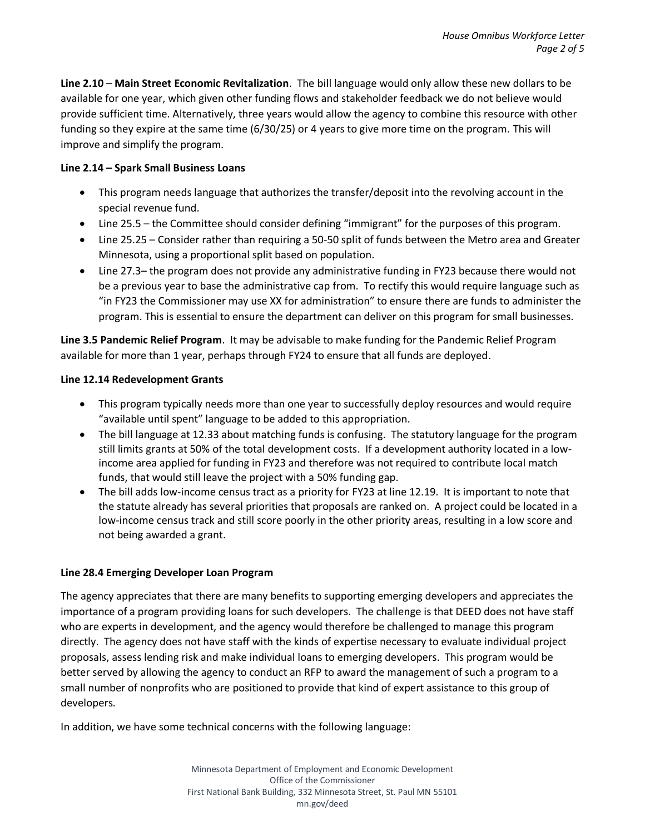**Line 2.10** – **Main Street Economic Revitalization**. The bill language would only allow these new dollars to be available for one year, which given other funding flows and stakeholder feedback we do not believe would provide sufficient time. Alternatively, three years would allow the agency to combine this resource with other funding so they expire at the same time (6/30/25) or 4 years to give more time on the program. This will improve and simplify the program.

## **Line 2.14 – Spark Small Business Loans**

- This program needs language that authorizes the transfer/deposit into the revolving account in the special revenue fund.
- Line 25.5 the Committee should consider defining "immigrant" for the purposes of this program.
- Line 25.25 Consider rather than requiring a 50-50 split of funds between the Metro area and Greater Minnesota, using a proportional split based on population.
- Line 27.3– the program does not provide any administrative funding in FY23 because there would not be a previous year to base the administrative cap from. To rectify this would require language such as "in FY23 the Commissioner may use XX for administration" to ensure there are funds to administer the program. This is essential to ensure the department can deliver on this program for small businesses.

**Line 3.5 Pandemic Relief Program**. It may be advisable to make funding for the Pandemic Relief Program available for more than 1 year, perhaps through FY24 to ensure that all funds are deployed.

## **Line 12.14 Redevelopment Grants**

- This program typically needs more than one year to successfully deploy resources and would require "available until spent" language to be added to this appropriation.
- The bill language at 12.33 about matching funds is confusing. The statutory language for the program still limits grants at 50% of the total development costs. If a development authority located in a lowincome area applied for funding in FY23 and therefore was not required to contribute local match funds, that would still leave the project with a 50% funding gap.
- The bill adds low-income census tract as a priority for FY23 at line 12.19. It is important to note that the statute already has several priorities that proposals are ranked on. A project could be located in a low-income census track and still score poorly in the other priority areas, resulting in a low score and not being awarded a grant.

# **Line 28.4 Emerging Developer Loan Program**

The agency appreciates that there are many benefits to supporting emerging developers and appreciates the importance of a program providing loans for such developers. The challenge is that DEED does not have staff who are experts in development, and the agency would therefore be challenged to manage this program directly. The agency does not have staff with the kinds of expertise necessary to evaluate individual project proposals, assess lending risk and make individual loans to emerging developers. This program would be better served by allowing the agency to conduct an RFP to award the management of such a program to a small number of nonprofits who are positioned to provide that kind of expert assistance to this group of developers.

In addition, we have some technical concerns with the following language: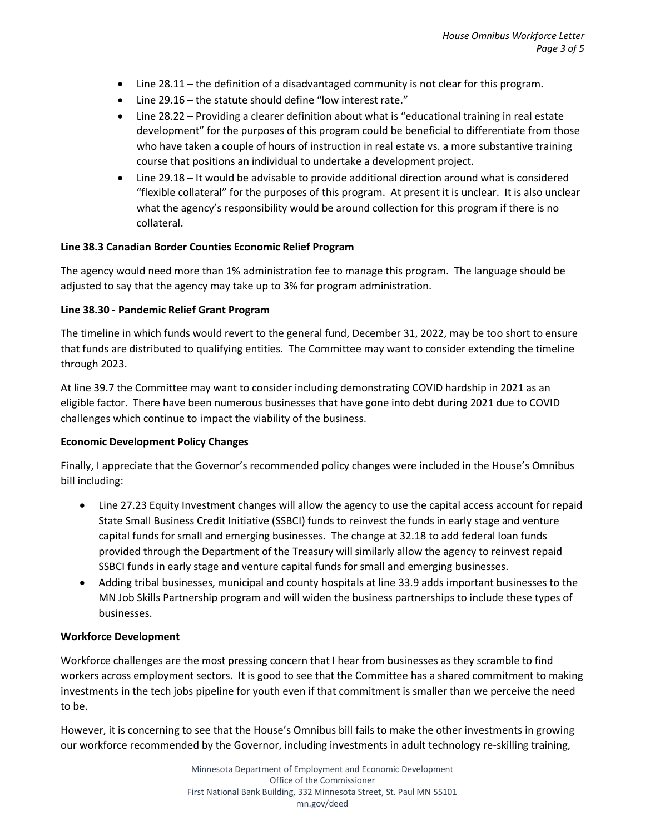- Line 28.11 the definition of a disadvantaged community is not clear for this program.
- Line 29.16 the statute should define "low interest rate."
- Line 28.22 Providing a clearer definition about what is "educational training in real estate development" for the purposes of this program could be beneficial to differentiate from those who have taken a couple of hours of instruction in real estate vs. a more substantive training course that positions an individual to undertake a development project.
- Line 29.18 It would be advisable to provide additional direction around what is considered "flexible collateral" for the purposes of this program. At present it is unclear. It is also unclear what the agency's responsibility would be around collection for this program if there is no collateral.

#### **Line 38.3 Canadian Border Counties Economic Relief Program**

The agency would need more than 1% administration fee to manage this program. The language should be adjusted to say that the agency may take up to 3% for program administration.

#### **Line 38.30 - Pandemic Relief Grant Program**

The timeline in which funds would revert to the general fund, December 31, 2022, may be too short to ensure that funds are distributed to qualifying entities. The Committee may want to consider extending the timeline through 2023.

At line 39.7 the Committee may want to consider including demonstrating COVID hardship in 2021 as an eligible factor. There have been numerous businesses that have gone into debt during 2021 due to COVID challenges which continue to impact the viability of the business.

#### **Economic Development Policy Changes**

Finally, I appreciate that the Governor's recommended policy changes were included in the House's Omnibus bill including:

- Line 27.23 Equity Investment changes will allow the agency to use the capital access account for repaid State Small Business Credit Initiative (SSBCI) funds to reinvest the funds in early stage and venture capital funds for small and emerging businesses. The change at 32.18 to add federal loan funds provided through the Department of the Treasury will similarly allow the agency to reinvest repaid SSBCI funds in early stage and venture capital funds for small and emerging businesses.
- Adding tribal businesses, municipal and county hospitals at line 33.9 adds important businesses to the MN Job Skills Partnership program and will widen the business partnerships to include these types of businesses.

#### **Workforce Development**

Workforce challenges are the most pressing concern that I hear from businesses as they scramble to find workers across employment sectors. It is good to see that the Committee has a shared commitment to making investments in the tech jobs pipeline for youth even if that commitment is smaller than we perceive the need to be.

However, it is concerning to see that the House's Omnibus bill fails to make the other investments in growing our workforce recommended by the Governor, including investments in adult technology re-skilling training,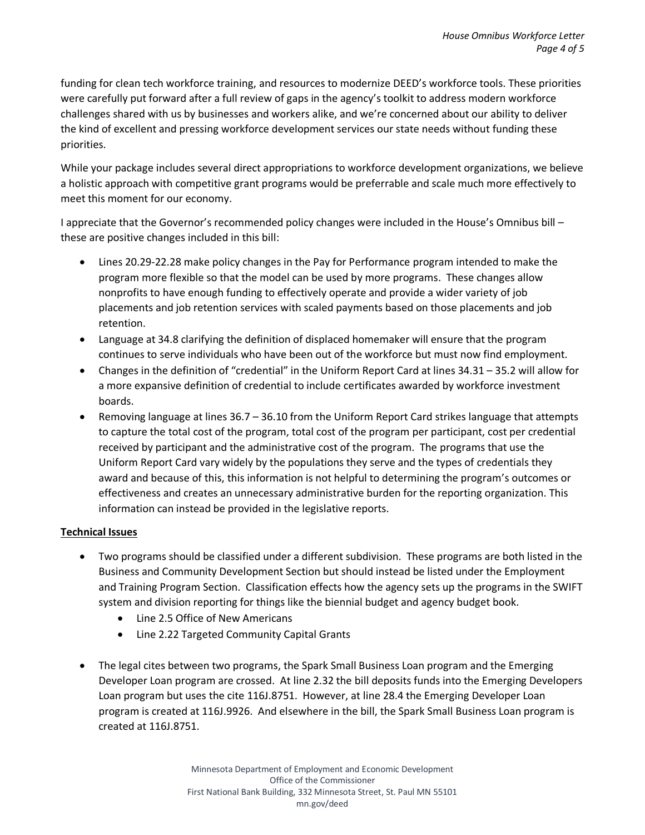funding for clean tech workforce training, and resources to modernize DEED's workforce tools. These priorities were carefully put forward after a full review of gaps in the agency's toolkit to address modern workforce challenges shared with us by businesses and workers alike, and we're concerned about our ability to deliver the kind of excellent and pressing workforce development services our state needs without funding these priorities.

While your package includes several direct appropriations to workforce development organizations, we believe a holistic approach with competitive grant programs would be preferrable and scale much more effectively to meet this moment for our economy.

I appreciate that the Governor's recommended policy changes were included in the House's Omnibus bill – these are positive changes included in this bill:

- Lines 20.29-22.28 make policy changes in the Pay for Performance program intended to make the program more flexible so that the model can be used by more programs. These changes allow nonprofits to have enough funding to effectively operate and provide a wider variety of job placements and job retention services with scaled payments based on those placements and job retention.
- Language at 34.8 clarifying the definition of displaced homemaker will ensure that the program continues to serve individuals who have been out of the workforce but must now find employment.
- Changes in the definition of "credential" in the Uniform Report Card at lines 34.31 35.2 will allow for a more expansive definition of credential to include certificates awarded by workforce investment boards.
- Removing language at lines 36.7 36.10 from the Uniform Report Card strikes language that attempts to capture the total cost of the program, total cost of the program per participant, cost per credential received by participant and the administrative cost of the program. The programs that use the Uniform Report Card vary widely by the populations they serve and the types of credentials they award and because of this, this information is not helpful to determining the program's outcomes or effectiveness and creates an unnecessary administrative burden for the reporting organization. This information can instead be provided in the legislative reports.

# **Technical Issues**

- Two programs should be classified under a different subdivision. These programs are both listed in the Business and Community Development Section but should instead be listed under the Employment and Training Program Section. Classification effects how the agency sets up the programs in the SWIFT system and division reporting for things like the biennial budget and agency budget book.
	- Line 2.5 Office of New Americans
	- Line 2.22 Targeted Community Capital Grants
- The legal cites between two programs, the Spark Small Business Loan program and the Emerging Developer Loan program are crossed. At line 2.32 the bill deposits funds into the Emerging Developers Loan program but uses the cite 116J.8751. However, at line 28.4 the Emerging Developer Loan program is created at 116J.9926. And elsewhere in the bill, the Spark Small Business Loan program is created at 116J.8751.